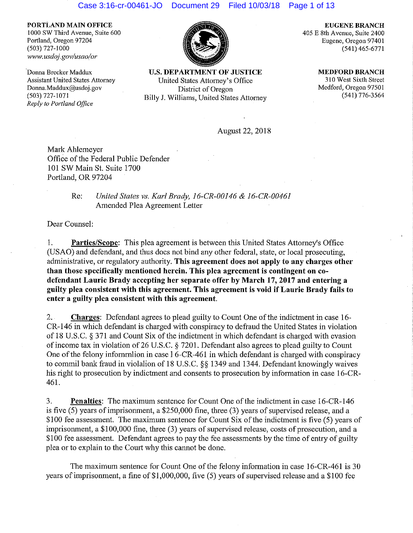#### Case 3:16-cr-00461-JO Document 29 Filed 10/03/18 Page 1 of 13

**PORTLAND MAIN OFFICE**  1000 SW Third Avenue, Suite 600 Portland, Oregon 97204 (503) 727-1000 www.usdoj.gov/usao/or

'Donna Brecker Maddux Assistant United States Attorney Donna.Maddux@usdoj.gov (503) 727-1071 *Reply to Portland Office* 



**U.S. DEPARTMENT OF JUSTICE**  United States Attorney's Office District of Oregon Billy J. Williams, United States Attorney

**EUGENE BRANCH**  405 E 8th Avenue, Suite 2400 Eugene, Oregon 97401 (541) 465-6771

> **MEDFORD BRANCH**  310 West Sixth Street Medford, Oregon 97501 (541) 776-3564

August 22, 2018

Mark Ahlemeyer Office of the Federal Public Defender **101** SW Main St. Suite 1700 Portland, OR 97204

# Re: *United States vs. Karl Brady, 16-CR-00146* & *16-CR-00461*  Amended Plea Agreement Letter

Dear Counsel:

I. **Parties/Scope:** This plea agreement is between this United States Attorney's Office (USAO) and defendant, and thus docs not bind any other federal, state, or local prosecuting, administrative, or regulatory authority. **This agreement does not apply to any charges other than those specifically mentioned herein. This plea agreement is contingent on codefendant Laurie Brady accepting her separate offer by March 17, 2017 and entering a guilty plea consistent with this agreement. This agreement is void if Laurie Brady fails to enter a guilty plea consistent with this agreement.** 

2. **Charges:** Defendant agrees to plead guilty to Count One of the indictment in case **l** 6- CR-146 in which defendant is charged with conspiracy to defraud the United States in violation of 18 U.S.C. § 371 and Count Six of the indictment in which defendant is charged with evasion of income tax in violation of 26 U.S.C. § 7201. Defendant also agrees to plead guilty to Count One of the felony infomrnlion in case 1 6-CR-461 in which defendant is charged with conspiracy to commil bank fraud in violalion of 18 U.S.C.  $\S$ § 1349 and 1344. Defendant knowingly waives his right to prosecution by indictment and consents to prosecution by information in case 16-CR-461.

3. **Penalties:** The maximum sentence for Count One of the indictment **in** case 16-CR-146 is five (5) years of imprisonment, a \$250,000 fine, three (3) years of supervised release, and a \$100 fee assessment. The maximum sentence for Count Six of the indictment is five (5) years of imprisonment, a \$100,000 fine, three (3) years of supervised release, costs of prosecution, and a \$100 fee assessment. Defendant agrees to pay the fee assessments by the time of entry of guilty plea or to explain to the Court why this cannot be done.

The maximum sentence for Count One of the felony information in case 16-CR-461 is 30 years of imprisonment, a fine of \$1,000,000, five (5) years of supervised release and a \$100 fee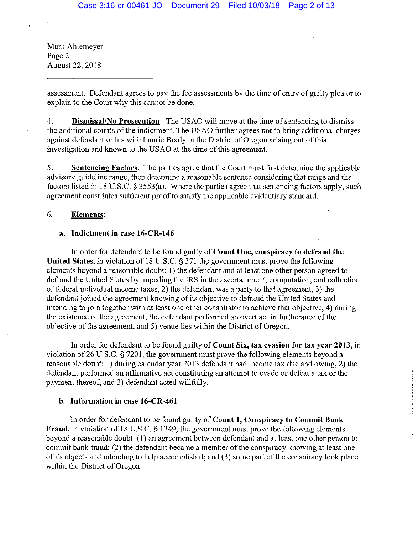Mark Ahlemeyer Page 2 August 22,.2018

assessment. Defendant agrees to pay the fee assessments by the time of entry of guilty plea or to explain to the Court why this cannot be done.

4. **Dismissal/No Prosecution:·** The USAO will move at the time of sentencing to dismiss the additional counts of the indictment. The USAO further agrees not to bring additional charges against defendant or his wife Laurie Brady in the District of Oregon arising out of this investigation and known to the USAO at the time of this agreement.

5. **Sentencing Factors:** The parties agree that the Court must first determine the applicable advisory guideline range, then determine a reasonable sentence considering that range and the factors listed in 18 U.S.C. § 3553(a). Where the parties agree that sentencing factors apply, such agreement constitutes sufficient proof to satisfy the applicable evidentiary standard.

### 6. **Elements:**

## **a. Indictment in case 16-CR-146**

In order for defendant to be found guilty of **Count One, conspiracy to defraud the United States,** in violation of 18 U.S.C. § 371 the government must prove the following elements beyond a reasonable doubt: 1) the defendant and at least one other person agreed to defraud the United States by impeding the IRS in the ascertainment, computation, and collection of federal individual income taxes, 2) the defendant was a party to that agreement, 3) the defendant joined the agreement knowing of its objective to defraud the United States and intending to join together with at least one other conspirator to achieve that objective, 4) during the existence of the agreement, the defendant performed an overt act in furtherance of the objective of the agreement, and 5) venue lies within the District of Oregon.

In order for defendant to be found guilty of **Count Six, tax evasion for tax year 2013,** in violation of26 U.S.C. § 7201, the government must prove the following elements beyond a reasonable doubt: 1) during calendar year 2013 defendant had income tax due and owing, 2) the defendant performed an affirmative act constituting an attempt to evade or defeat a tax or the payment thereof, and 3) defendant acted willfully.

## **b. Information in case 16-CR-461**

In order for defendant to be found guilty of **Count 1, Conspiracy to Commit Bank Fraud,** in violation of 18 U.S.C. § 1349, the government must prove the following elements beyond a reasonable doubt: (1) an agreement between defendant and at least one other person to commit bank fraud; (2) the defendant became a member of the conspiracy knowing at least one of its objects and intending to help accomplish it; and (3) some part of the conspiracy took place within the District of Oregon.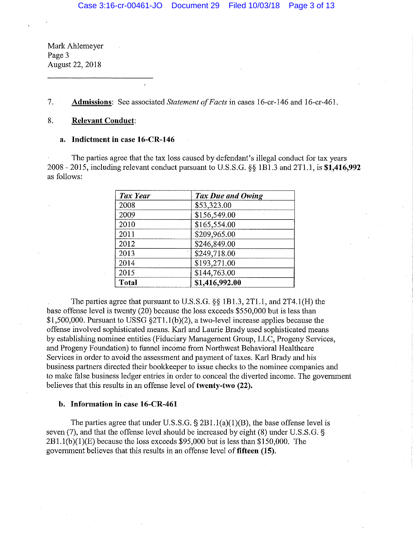Mark Ahlemeyer Page 3 August 22, 2018

## 7. **Admissions:** See associated *Statement of Facts* in cases 16-cr-146 and 16-cr-461.

## 8. **Relevant Conduct:**

### **a. Indictment in case 16-CR-146**

The parties agree that the tax loss caused by defendant's illegal conduct for tax years 2008 - 2015, including relevant conduct pursuant to U.S.S.G. §§ lBl.3 and 2Tl. l, is **\$1,416,992**  as follows:

| <b>Tax Year</b> | Tax Due and Owing |
|-----------------|-------------------|
| 2008            | \$53,323.00       |
| 2009            | \$156,549.00      |
| 2010            | \$165,554.00      |
| 2011            | \$209,965.00      |
| 2012            | \$246,849.00      |
| 2013            | \$249,718.00      |
| 2014            | \$193,271.00      |
| 2015            | \$144,763.00      |
| <b>Total</b>    | \$1,416,992.00    |

The parties agree that pursuant to U.S.S.G.  $\S$ § 1B1.3, 2T1.1, and 2T4.1(H) the base offense level is twenty (20) because the loss exceeds \$550,000 but is less than \$1,500,000. Pursuant to USSG §2Tl.l(b)(2), a two-level increase applies because the offense involved sophisticated means. Karl and Laurie Brady used sophisticated means by establishing nominee entities (Fiduciary Management Group, LLC, Progeny Services, and Progeny Foundation) to funnel income from Northwest Behavioral Healthcare Services in order to avoid the assessment and payment of taxes. Karl Brady and his business partners directed their bookkeeper to issue checks to the nominee companies and to make false business ledger entries in order to conceal the diverted income. The government believes that this results in an offense level of **twenty-two (22).** 

### **b. Information in case 16-CR-461**

The parties agree that under U.S.S.G.  $\S 2B1.1(a)(1)(B)$ , the base offense level is seven (7), and that the offense level should be increased by eight (8) under U.S.S.G. §  $2B1.1(b)(1)(E)$  because the loss exceeds \$95,000 but is less than \$150,000. The government believes that this results in an offense level of **fifteen (15).**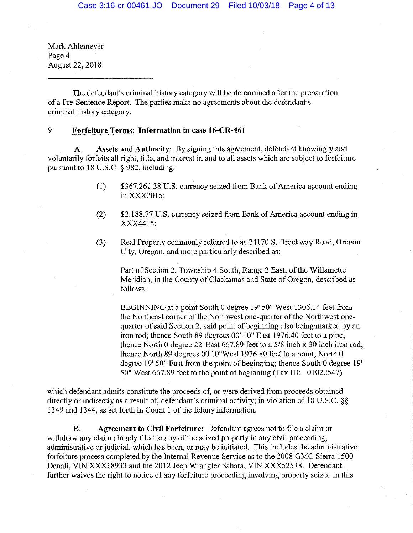Mark Ahlemeyer Page 4 August 22, 2018

The defendant's criminal history category will be determined after the preparation of a Pre-Sentence Report. The parties make no agreements about the defendant's criminal history category.

## 9. **Forfeiture Terms: Information in case 16-CR-461**

A. **Assets and Authority:** By signing this agreement, defendant lmowingly and voluntarily forfeits all right, title, and interest in and to all assets which are subject to forfeiture pursuant to 18 U.S.C. § 982, including:

- (1) \$367,261.38 U.S. currency seized from Bank of America account ending inXXX2015;
- (2) \$2,188.77 U.S. currency seized from Banlc of America account ending in XXX4415;
- (3) Real Property commonly referred to as 24170 S. Brockway Road, Oregon City, Oregon, and more particularly described as:

Part of Section 2, Township 4 South, Range 2 East, of the Willamette Meridian, in the County of Clackamas and State of Oregon, described as follows:

BEGINNING at a point South 0 degree 19' 50" West 1306.14 feet from the Northeast comer of the Northwest one-quarter of the Northwest onequarter of said Section 2, said point of beginning also being marked by an iron rod; thence South 89 degrees 00' 10" East 1976.40 feet to a pipe; thence North 0 degree 22' East 667.89 feet to a 5/8 inch x 30 inch iron rod; thence North 89 degrees OO'lO"West 1976.80 feet to a point, North 0 degree 19' 50" East from the point of beginning; thence South 0 degree 19' 50" West 667.89 feet to the point of beginning (Tax ID: 01022547)

which defendant admits constitute the proceeds of, or were derived from proceeds obtained directly or indirectly as a result of, defendant's criminal activity; in violation of 18 U.S.C. §§ 1349 and 1344, as set forth in Count 1 of the felony information.

B. **Agreement to Civil Forfeiture:** Defendant agrees not to file a claim or withdraw any claim already filed to any of the seized property in any civil proceeding, administrative or judicial, which has been, or may be initiated. This includes the administrative forfeiture process completed by the Internal Revenue Service as to the 2008 GMC Sierra 1500 Denali, VIN XXX18933 and the 2012 Jeep Wrangler Sahara, VIN XXX52518. Defendant further waives the right to notice of any forfeiture proceeding involving property seized in this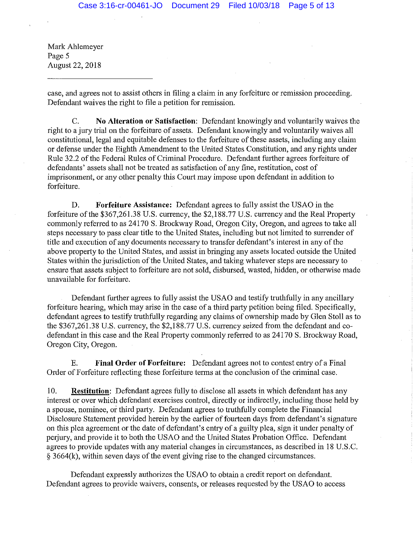Mark Ahlemeyer Page 5 August 22, 2018

case, and agrees not to assist others in filing a claim in any forfeiture or remission proceeding. Defendant waives the right to file a petition for remission.

C. No Alteration or Satisfaction: Defendant knowingly and voluntarily waives the right to a jury trial on the forfeiture of assets. Defendant knowingly and voluntarily waives all constitutional, legal and equitable defenses to the forfeiture of these assets, including any claim or defense under the Eighth Amendment to the United States Constitution, and any rights under Rule 32.2 of the Federal Rules of Criminal Procedure. Defendant further agrees forfeiture of defendants' assets shall not be treated as satisfaction of any fine, restitution, cost of imprisonment, or any other penalty this Court may impose upon defendant in addition to forfeiture.

D. **Forfeiture Assistance:** Defendant agrees to fully assist the USAO in the forfeiture of the \$367,261.38 U.S. currency, the \$2,188.77 U.S. currency and the Real Property commonly referred to as 24170 S. Brockway Road, Oregon City, Oregon, and agrees to take all steps necessary to pass clear title to the United States, including but not limited to surrender of title and execution of any documents necessary to transfer defendant's interest in any of the above property to the United States, and assist in bringing any assets located outside the United States within the jurisdiction of the United States, and taking whatever steps are necessary to ensure that assets subject to forfeiture are not sold, disbursed, wasted, hidden, or otherwise made unavailable for forfeiture.

Defendant further agrees to fully assist the USAO and testify truthfully in any ancillary forfeiture hearing, which may arise in the case of a third party petition being filed. Specifically, defendant agrees to testify truthfully regarding any claims of ownership made by Glen Stoll as to the \$367,261.38 U.S. currency, the \$2,188.77 U.S. currency seized from the defendant and codefendant in this case and the Real Property commonly referred to as 24170 S. Brockway Road, Oregon City, Oregon.

E. **Final Order of Forfeiture:** Defendant agrees not to contest entry of a Final Order of Forfeiture reflecting these forfeiture terms at the conclusion of the criminal case.

10. **Restitution:** Defendant agrees fully to disclose all assets in which defendant has any interest or over which defendant exercises control, directly or indirectly, including those held by a spouse, nominee, or third party. Defendant agrees to truthfully complete the Financial Disclosure Statement provided herein by the earlier of fourteen days from defendant's signature on this plea agreement or the date of defendant's entry of a guilty plea, sign it under penalty of perjury, and provide it to both the USAO and the United States Probation Office. Defendant agrees to provide updates with any material changes in circumstances, as described in 18 U.S.C. § 3664(k), within seven days of the event giving rise to the changed circumstances.

Defendant expressly authorizes the USAO to obtain a credit report on defendant. Defendant agrees to provide waivers, consents, or releases requested by the USAO to access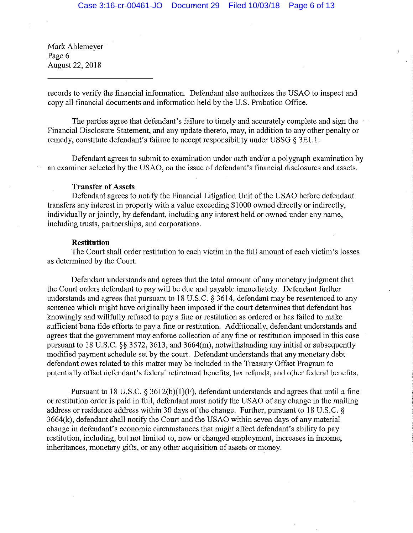Mark Ahlemeyer Page 6 August 22, 2018

records to verify the financial information. Defendant also authorizes the USAO to inspect and copy all financial documents and information held by the U.S. Probation Office.

The parties agree that defendant's failure to timely and accurately complete and sign the Financial Disclosure Statement, and any update thereto, may, in addition to any other penalty or remedy, constitute defendant's failure to accept responsibility under USSG § 3El .1.

Defendant agrees to submit to examination under oath and/or a polygraph examination by an examiner selected by the USAO, on the issue of defendant's financial disclosures and assets.

### **Transfer of Assets**

Defendant agrees to notify the Financial Litigation Unit of the USAO before defendant transfers any interest in property with a value exceeding \$1000 owned directly or indirectly, individually or jointly, by defendant, including any interest held or owned under any name, including trusts, partnerships, and corporations.

#### **Restitution**

The Court shall order restitution to each victim in the full amount of each victim's losses as determined by the Court.

Defendant understands and agrees that the total amount of any monetary judgment that the Court orders defendant to pay will be due and payable immediately. Defendant further understands and agrees that pursuant to 18 U.S.C. § 3614, defendant may be resentenced to any sentence which might have originally been imposed if the court determines that defendant has knowingly and willfully refused to pay a fine or restitution as ordered or has failed to make sufficient bona fide efforts to pay a fine or restitution. Additionally, defendant understands and agrees that the government may enforce collection of any fine or restitution imposed in this case pursuant to 18 U.S.C. §§ 3572, 3613, and 3664(m), notwithstanding any initial or subsequently modified payment schedule set by the court. Defendant understands that any monetary debt defendant owes related to this matter may be included in the Treasury Offset Program to potentially offset defendant's federal retirement benefits, tax refunds, and other federal benefits.

Pursuant to 18 U.S.C.  $\S 3612(b)(1)(F)$ , defendant understands and agrees that until a fine or restitution order is paid in full, defendant must notify the USAO of any change in the mailing address or residence address within 30 days of the change. Further, pursuant to 18 U.S.C. § 3664(k), defendant shall notify the Court and the USAO within seven days of any material change in defendant's economic circumstances that might affect defendant's ability to pay restitution, including, but not limited to, new or changed employment, increases in income, inheritances, monetary gifts, or any other acquisition of assets or money.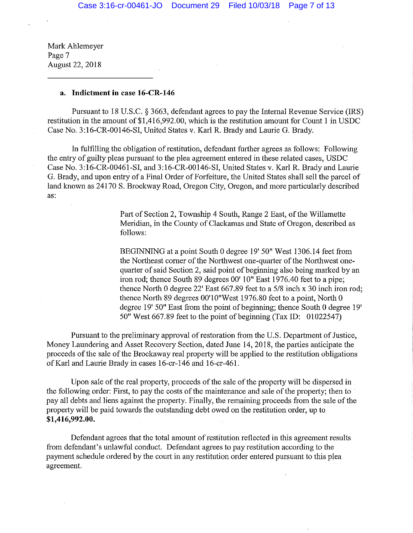Mark Ahlemeyer Page 7 August 22, 2018

### **a. Indictment in** case **16-CR-146**

Pursuant to 18 U.S.C. § 3663, defendant agrees to pay the Internal Revenue Service (IRS) restitution in the amount of \$1,416,992.00, which is the restitution amount for Count 1 in USDC Case No. 3:16-CR-00146-SI, United States v. Karl R. Brady and Laurie G. Brady.

In fulfilling the obligation of restitution, defendant further agrees as follows: Following the entry of guilty pleas pursuant to the plea agreement entered in these related cases, USDC Case No. 3: 16-CR-00461-SI, and 3:16-CR-00146-SI, United States v. Karl R. Brady and Laurie G. Brady, and upon entry of a Final Order of Forfeiture, the United States shall sell the parcel of land known as 24170 S. Brockway Road, Oregon City, Oregon, and more particularly described as:

> Part of Section 2, Township 4 South, Range 2 East, of the Willamette Meridian, in the County of Clackamas and State of Oregon, described as follows:

BEGINNING at a point South 0 degree 19' 50" West 1306.14 feet from the Northeast corner of the Northwest one-quarter of the Northwest onequarter of said Section 2, said point of beginning also being marked by an iron rod; thence South 89 degrees 00' 10" East 1976.40 feet to a pipe; thence North 0 degree  $22'$  East 667.89 feet to a 5/8 inch x 30 inch iron rod; thence North 89 degrees OO'lO"West 1976.80 feet to a point, North 0 degree 19' 50" East from the point of beginning; thence South 0 degree 19' 50" West  $667.89$  feet to the point of beginning (Tax ID: 01022547)

Pursuant to the preliminary approval of restoration from the U.S. Department of Justice, Money Laundering and Asset Recovery Section, dated June 14, 2018, the parties anticipate the proceeds of the sale of the Brockaway real property will be applied to the restitution obligations of Karl and Laurie Brady in cases 16-cr-146 and 16-cr-461.

Upon sale of the real property, proceeds of the sale of the property will be dispersed in the following order: First, to pay the costs of the maintenance and sale of the property; then to pay all debts and liens against the property. Finally, the remaining proceeds from the sale of the property will be paid towards the outstanding debt owed on the restitution order, up to **\$1,416,992.00.** 

Defendant agrees that the total amount of restitution reflected in this agreement results from defendant's unlawful conduct. Defendant agrees to pay restitution according to the payment schedule ordered by the court in any restitution order entered pursuant to this plea agreement.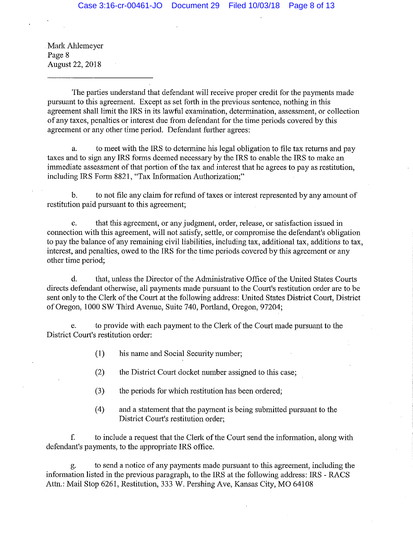Mark Ahlemeyer Page 8 August 22, 2018

The parties understand that defendant will receive proper credit for the payments made pursuant to this agreement. Except as set forth in the previous sentence, nothing in this agreement shall limit the IRS in its lawful examination, determination, assessment, or collection of any taxes, penalties or interest due from defendant for the time periods covered by this agreement or any other time period. Defendant further agrees:

a. to meet with the IRS to determine his legal obligation to file tax returns and pay taxes and to sign any IRS forms deemed necessary by the IRS to enable the IRS to make an immediate assessment of that portion of the tax and interest that he agrees to pay as restitution, including IRS Form 8821, "Tax Information Authorization;"

b. to not file any claim for refund of taxes or interest represented by any amount of restitution paid pursuant to this agreement;

c. that this agreement, or any judgment, order, release, or satisfaction issued in connection with this agreement, will not satisfy, settle, or compromise the defendant's obligation to pay the balance of any remaining civil liabilities, including tax, additional tax, additions to tax, interest, and penalties, owed to the IRS for the time periods covered by this agreement or any other time period;

d. that, unless the Director of the Administrative Office of the United States Courts directs defendant otherwise, all payments made pursuant to the Court's restitution order are to be sent only to the Clerk of the Court at the following address: United States District Court, District of Oregon, 1000 SW Third Avenue, Suite 740, Portland, Oregon, 97204;

e. to provide with each payment to the Clerk of the Court made pursuant to the District Court's restitution order:

(1) his name and Social Security number;

- (2) the District Court docket number assigned to this case;
- (3) the periods for which restitution has been ordered;
- (4) and a statement that the payment is being submitted pursuant to the District Court's restitution order;

f. to include a request that the Clerk of the Court send the information, along with defendant's payments, to the appropriate IRS office.

to send a notice of any payments made pursuant to this agreement, including the information listed in the previous paragraph, to the IRS at the following address: IRS - RACS Attn.: Mail Stop 6261, Restitution, 333 W. Pershing Ave, Kansas City, MO 64108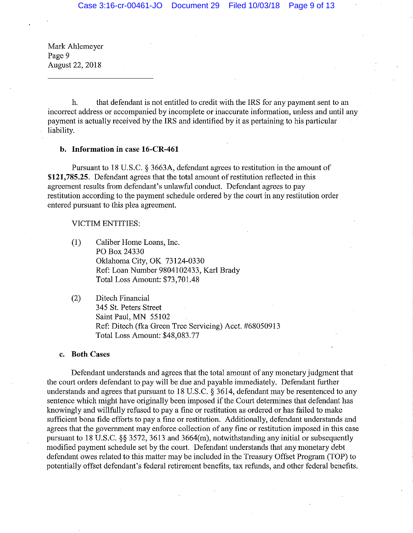Mark Ahlemeyer Page 9 August 22, 2018

h. that defendant is not entitled to credit with the IRS for any payment sent to an incorrect address or accompanied by incomplete or inaccurate information, unless and until any payment is actually received by the IRS and identified by it as pertaining to his particular liability.

#### **b. Information in case 16-CR-461**

Pursuant to 18 U.S.C. § 3663A, defendant agrees to restitution in the amount of **\$121, 785.25.** Defendant agrees that the total amount of restitution reflected in this agreement results from defendant's unlawful conduct. Defendant agrees to pay restitution according to the payment schedule ordered by the court in any restitution order entered pursuant to this plea agreement.

### VICTIM ENTITIES:

- **(1)** Caliber Home Loans, Inc. PO Box24330 Oklahoma City, OK 73124-0330 Ref: Loan Number 9804102433, Karl Brady Total Loss Amount: \$73, 701.48
- (2) Ditech Financial 345 St. Peters Street Saint Paul, MN 55102 Ref: Ditech (flea Green Tree Servicing) Acct. #68050913 Total Loss Amount: \$48,083.77

#### **c. Both Cases**

Defendant understands and agrees that the total amount of any monetary judgment that the court orders defendant to pay will be due and payable immediately. Defendant further understands and agrees that pursuant to 18 U.S.C.  $\S$  3614, defendant may be resentenced to any sentence which might have originally been imposed if the Court determines that defendant has knowingly and willfully refused to pay a fine or restitution as ordered or has failed to make sufficient bona fide efforts to pay a fine or restitution. Additionally, defendant understands and agrees that the government may enforce collection of any fine or restitution imposed in this case pursuant to 18 U.S.C. §§ 3572, 3613 and 3664(m), notwithstanding any initial or subsequently modified payment schedule set by the court. Defendant understands that any monetary debt defendant owes related to this matter may be included in the Treasury Offset Program (TOP) to potentially offset defendant's federal retirement benefits, tax refunds, and other federal benefits.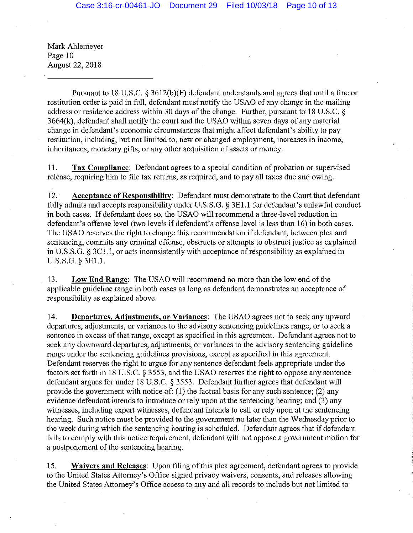Mark Ahlemeyer Page 10 August 22, 2018

Pursuant to 18 U.S.C.  $\S$  3612(b)(F) defendant understands and agrees that until a fine or restitution order is paid in full, defendant must notify the USAO of any change in the mailing address or residence address within 30 days of the change. Further, pursuant to 18 U.S.C. § 3664(k), defendant shall notify the court and the USAO within seven days of any material change in defendant's economic circumstances that might affect defendant's ability to pay restitution, including, but not limited to, new or changed employment, increases in income, inheritances, monetary gifts, or any other acquisition of assets or money.

11. **Tax Compliance:** Defendant agrees to a special condition of probation or supervised release, requiring him to file tax returns, as required, and to pay all taxes due and owing.

12. **Acceptance of Responsibility:** Defendant must demonstrate to the Court that defendant fully admits and accepts responsibility under U.S.S.G. § 3El.l for defendant's unlawful conduct in both cases. If defendant does so, the USAO will recommend a three-level reduction in defendant's offense level (two levels if defendant's offense level is less than 16) in both cases. The USAO reserves the right to change this recommendation if defendant, between plea and sentencing, commits any criminal offense, obstructs or attempts to obstruct justice as explained in U.S.S.G. § 3Cl. I, or acts inconsistently with acceptance of responsibility as explained in U.S.S.G. § 3El.l.

13. **Low End Range:** The USAO will recommend no more than the low end of the applicable guideline range in both cases as long as defendant demonstrates an acceptance of responsibility as explained above.

14. **Departures, Adjustments, or Variances:** The USAO agrees not to seek any upward departures, adjustments, or variances to the advisory sentencing guidelines range, or to seek a sentence in excess of that range, except as specified in this agreement. Defendant agrees not to seek any downward departures, adjustments, or variances to the advisory sentencing guideline range under the sentencing guidelines provisions, except as specified in this agreement. Defendant reserves the right to argue for any sentence defendant feels appropriate under the factors set forth in 18 U.S.C. § 3553, and the USAO reserves the right to oppose any sentence defendant argues for under 18 U.S.C. § 3553. Defendant further agrees that defendant will provide the govermnent with notice of: (I) the factual basis for any such sentence; (2) any evidence defendant intends to introduce or rely upon at the sentencing hearing; and (3) any witnesses, including expert witnesses, defendant intends to call or rely upon at the sentencing hearing. Such notice must be provided to the government no later than the Wednesday prior to the week during which the sentencing hearing is scheduled. Defendant agrees that if defendant fails to comply with this notice requirement, defendant will not oppose a government motion for a postponement of the sentencing hearing.

15. **Waivers and Releases:** Upon filing of this plea agreement, defendant agrees to provide to the United States Attorney's Office signed privacy waivers, consents, and releases allowing the United States Attorney's Office access to any and all records to include but not limited to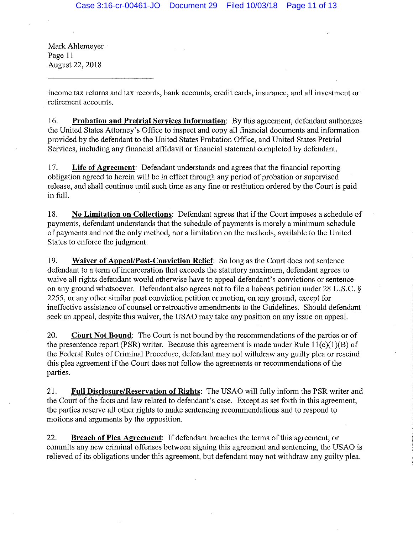Mark Ahlemeyer Page 11 August 22, 2018

income tax returns and tax records, bank accounts, credit cards, insurance, and all investment or retirement accounts.

16. **Probation and Pretrial Services Information:** By this agreement, defendant authorizes the United States Attorney's Office to inspect and copy all financial documents and information provided by the defendant to the United States Probation Office, and United States Pretrial Services, including any financial affidavit or financial statement completed by defendant.

17. **Life of Agreement:** Defendant understands and agrees that the financial reporting obligation agreed to herein will be in effect through any period of probation or supervised release, and shall continue until such time as any fine or restitution ordered by the Court is paid in full.

18. **No Limitation on Collections:** Defendant agrees that if the Court imposes a schedule of payments, defendant understands that the schedule of payments is merely a minimum schedule of payments and not the only method, nor a limitation on the methods, available to the United States to enforce the judgment.

19. **Waiver of Appeal/Post-Conviction Relief:** So long as the Court does not sentence defendant to a term of incarceration that exceeds the statutory maximum, defendant agrees to waive all rights defendant would otherwise have to appeal defendant's convictions or sentence on any ground whatsoever. Defendant also agrees not to file a habeas petition under 28 U.S.C. § 2255, or any other similar post conviction petition or motion, on any ground, except for ineffective assistance of counsel or retroactive amendments to the Guidelines. Should defendant seek an appeal, despite this waiver, the USAO may take any position on any issue on appeal.

20. **Court Not Bound:** The Court is not bound by the recommendations of the parties or of the presentence report (PSR) writer. Because this agreement is made under Rule  $11(c)(1)(B)$  of the Federal Rules of Criminal Procedme, defendant may not withdraw any guilty plea or rescind this plea agreement if the Court does not follow the agreements or recommendations of the parties.

21. **Full Disclosure/Reservation of Rights:** The USAO will fully inform the PSR writer and the Court of the facts and law related to defendant's case. Except as set forth in this agreement, the parties reserve all other rights to make sentencing recommendations and to respond to motions and arguments by the opposition.

22. **Breach of Plea Agreement:** If defendant breaches the terms of this agreement, or commits any new criminal offenses between signing this agreement and sentencing, the USAO is relieved of its obligations under this agreement, but defendant may not withdraw any guilty plea.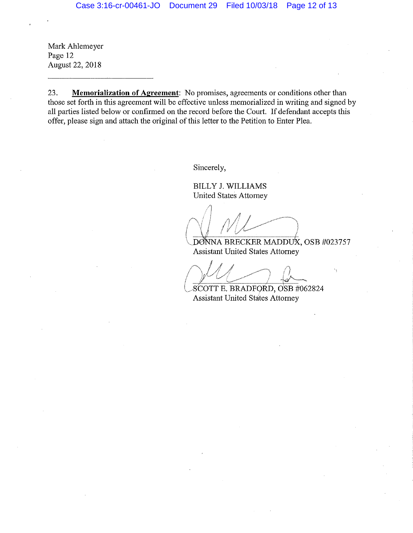Mark Ahlemeyer Page 12 August 22, 2018

23. **Memorialization of Agreement:** No promises, agreements or conditions other than those set forth in this agreement will be effective unless memorialized in writing and signed by all parties listed below or confirmed on the record before the Court. If defendant accepts this offer, please sign and attach the original of this letter to the Petition to Enter Plea.

Sincerely,

BILLY J. WILLIAMS United States Attorney

 $\bigwedge$ !  $\left(\left| \mathcal{N}\right| \right)$ 

DONNA BRECKER MADDUX, OSB #023757 Assistant United States Attorney

1.55556611 Ontact States Automn • J . *i ./* ,,..,,,·'" *i i.!* I A.  $\mathbb{I} \times \mathbb{I} \times \mathbb{I} \times \mathbb{I} \times \mathbb{I} \times \mathbb{I} \times \mathbb{I} \times \mathbb{I} \times \mathbb{I} \times \mathbb{I} \times \mathbb{I} \times \mathbb{I} \times \mathbb{I} \times \mathbb{I} \times \mathbb{I} \times \mathbb{I} \times \mathbb{I} \times \mathbb{I} \times \mathbb{I} \times \mathbb{I} \times \mathbb{I} \times \mathbb{I} \times \mathbb{I} \times \mathbb{I} \times \mathbb{I} \times \mathbb{I} \times \mathbb{I} \times \mathbb{$ 

(~.SCOTT E. BRADFORD, dSB #062824 Assistant United States Attorney